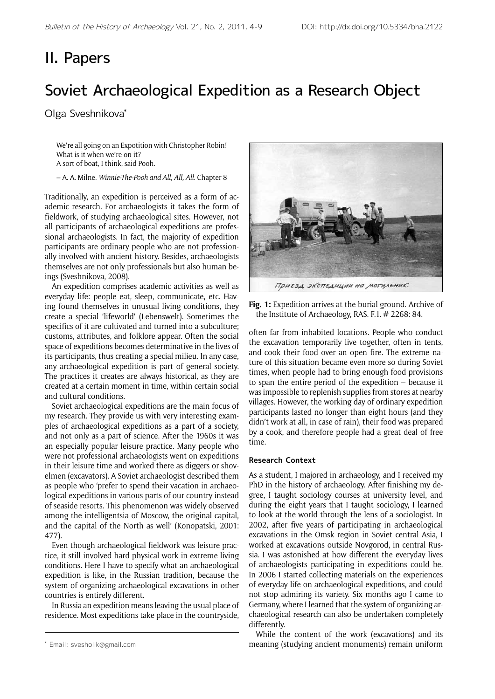## II. Papers

# Soviet Archaeological Expedition as a Research Object

Olga Sveshnikova\*

We're all going on an Expotition with Christopher Robin! What is it when we're on it? A sort of boat, I think, said Pooh.

– A. A. Milne. *Winnie-The-Pooh and All, All, All*. Chapter 8

Traditionally, an expedition is perceived as a form of academic research. For archaeologists it takes the form of fieldwork, of studying archaeological sites. However, not all participants of archaeological expeditions are professional archaeologists. In fact, the majority of expedition participants are ordinary people who are not professionally involved with ancient history. Besides, archaeologists themselves are not only professionals but also human beings (Sveshnikova, 2008).

An expedition comprises academic activities as well as everyday life: people eat, sleep, communicate, etc. Having found themselves in unusual living conditions, they create a special 'lifeworld' (Lebenswelt). Sometimes the specifics of it are cultivated and turned into a subculture; customs, attributes, and folklore appear. Often the social space of expeditions becomes determinative in the lives of its participants, thus creating a special milieu. In any case, any archaeological expedition is part of general society. The practices it creates are always historical, as they are created at a certain moment in time, within certain social and cultural conditions.

Soviet archaeological expeditions are the main focus of my research. They provide us with very interesting examples of archaeological expeditions as a part of a society, and not only as a part of science. After the 1960s it was an especially popular leisure practice. Many people who were not professional archaeologists went on expeditions in their leisure time and worked there as diggers or shovelmen (excavators). A Soviet archaeologist described them as people who 'prefer to spend their vacation in archaeological expeditions in various parts of our country instead of seaside resorts. This phenomenon was widely observed among the intelligentsia of Moscow, the original capital, and the capital of the North as well' (Konopatski, 2001: 477).

Even though archaeological fieldwork was leisure practice, it still involved hard physical work in extreme living conditions. Here I have to specify what an archaeological expedition is like, in the Russian tradition, because the system of organizing archaeological excavations in other countries is entirely different.

In Russia an expedition means leaving the usual place of residence. Most expeditions take place in the countryside,



**Fig. 1:** Expedition arrives at the burial ground. Archive of the Institute of Archaeology, RAS. F.1. # 2268: 84.

often far from inhabited locations. People who conduct the excavation temporarily live together, often in tents, and cook their food over an open fire. The extreme nature of this situation became even more so during Soviet times, when people had to bring enough food provisions to span the entire period of the expedition – because it was impossible to replenish supplies from stores at nearby villages. However, the working day of ordinary expedition participants lasted no longer than eight hours (and they didn't work at all, in case of rain), their food was prepared by a cook, and therefore people had a great deal of free time.

### **Research Context**

As a student, I majored in archaeology, and I received my PhD in the history of archaeology. After finishing my degree, I taught sociology courses at university level, and during the eight years that I taught sociology, I learned to look at the world through the lens of a sociologist. In 2002, after five years of participating in archaeological excavations in the Omsk region in Soviet central Asia, I worked at excavations outside Novgorod, in central Russia. I was astonished at how different the everyday lives of archaeologists participating in expeditions could be. In 2006 I started collecting materials on the experiences of everyday life on archaeological expeditions, and could not stop admiring its variety. Six months ago I came to Germany, where I learned that the system of organizing archaeological research can also be undertaken completely differently.

While the content of the work (excavations) and its meaning (studying ancient monuments) remain uniform

<sup>\*</sup> Email: svesholik@gmail.com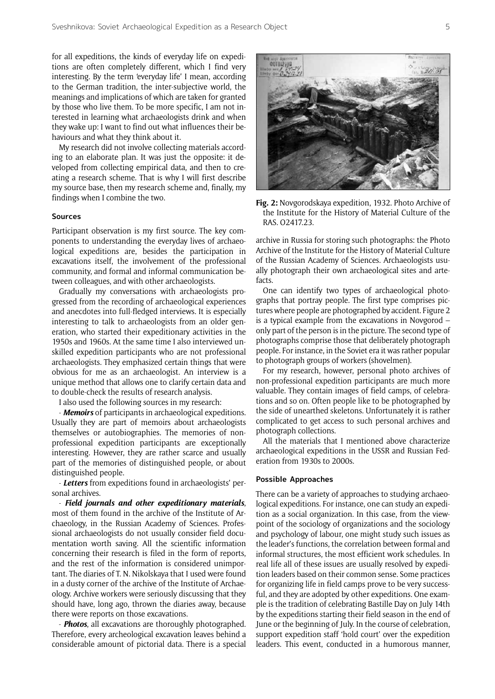for all expeditions, the kinds of everyday life on expeditions are often completely different, which I find very interesting. By the term 'everyday life' I mean, according to the German tradition, the inter-subjective world, the meanings and implications of which are taken for granted by those who live them. To be more specific, I am not interested in learning what archaeologists drink and when they wake up: I want to find out what influences their behaviours and what they think about it.

My research did not involve collecting materials according to an elaborate plan. It was just the opposite: it developed from collecting empirical data, and then to creating a research scheme. That is why I will first describe my source base, then my research scheme and, finally, my findings when I combine the two.

#### **Sources**

Participant observation is my first source. The key components to understanding the everyday lives of archaeological expeditions are, besides the participation in excavations itself, the involvement of the professional community, and formal and informal communication between colleagues, and with other archaeologists.

Gradually my conversations with archaeologists progressed from the recording of archaeological experiences and anecdotes into full-fledged interviews. It is especially interesting to talk to archaeologists from an older generation, who started their expeditionary activities in the 1950s and 1960s. At the same time I also interviewed unskilled expedition participants who are not professional archaeologists. They emphasized certain things that were obvious for me as an archaeologist. An interview is a unique method that allows one to clarify certain data and to double-check the results of research analysis.

I also used the following sources in my research:

- *Memoirs* of participants in archaeological expeditions. Usually they are part of memoirs about archaeologists themselves or autobiographies. The memories of nonprofessional expedition participants are exceptionally interesting. However, they are rather scarce and usually part of the memories of distinguished people, or about distinguished people.

- *Letters* from expeditions found in archaeologists' personal archives.

- *Field journals and other expeditionary materials*, most of them found in the archive of the Institute of Archaeology, in the Russian Academy of Sciences. Professional archaeologists do not usually consider field documentation worth saving. All the scientific information concerning their research is filed in the form of reports, and the rest of the information is considered unimportant. The diaries of T. N. Nikolskaya that I used were found in a dusty corner of the archive of the Institute of Archaeology. Archive workers were seriously discussing that they should have, long ago, thrown the diaries away, because there were reports on those excavations.

- *Photos*, all excavations are thoroughly photographed. Therefore, every archeological excavation leaves behind a considerable amount of pictorial data. There is a special



**Fig. 2:** Novgorodskaya expedition, 1932. Photo Archive of the Institute for the History of Material Culture of the RAS. O2417.23.

archive in Russia for storing such photographs: the Photo Archive of the Institute for the History of Material Culture of the Russian Academy of Sciences. Archaeologists usually photograph their own archaeological sites and artefacts.

One can identify two types of archaeological photographs that portray people. The first type comprises pictures where people are photographed by accident. Figure 2 is a typical example from the excavations in Novgorod – only part of the person is in the picture. The second type of photographs comprise those that deliberately photograph people. For instance, in the Soviet era it was rather popular to photograph groups of workers (shovelmen).

For my research, however, personal photo archives of non-professional expedition participants are much more valuable. They contain images of field camps, of celebrations and so on. Often people like to be photographed by the side of unearthed skeletons. Unfortunately it is rather complicated to get access to such personal archives and photograph collections.

All the materials that I mentioned above characterize archaeological expeditions in the USSR and Russian Federation from 1930s to 2000s.

#### **Possible Approaches**

There can be a variety of approaches to studying archaeological expeditions. For instance, one can study an expedition as a social organization. In this case, from the viewpoint of the sociology of organizations and the sociology and psychology of labour, one might study such issues as the leader's functions, the correlation between formal and informal structures, the most efficient work schedules. In real life all of these issues are usually resolved by expedition leaders based on their common sense. Some practices for organizing life in field camps prove to be very successful, and they are adopted by other expeditions. One example is the tradition of celebrating Bastille Day on July 14th by the expeditions starting their field season in the end of June or the beginning of July. In the course of celebration, support expedition staff 'hold court' over the expedition leaders. This event, conducted in a humorous manner,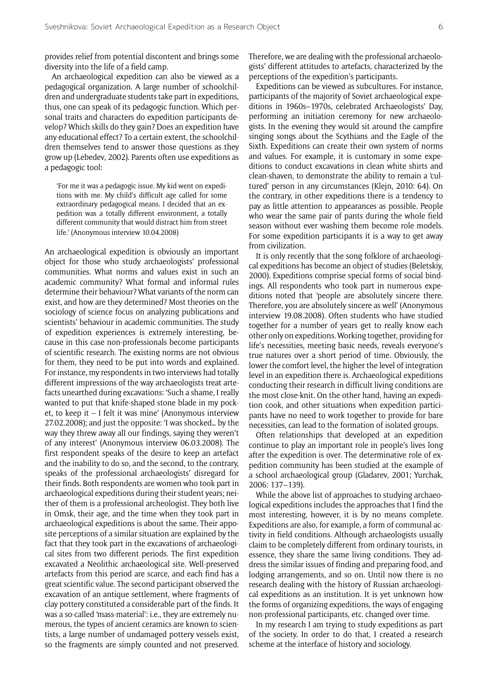provides relief from potential discontent and brings some diversity into the life of a field camp.

An archaeological expedition can also be viewed as a pedagogical organization. A large number of schoolchildren and undergraduate students take part in expeditions, thus, one can speak of its pedagogic function. Which personal traits and characters do expedition participants develop? Which skills do they gain? Does an expedition have any educational effect? To a certain extent, the schoolchildren themselves tend to answer those questions as they grow up (Lebedev, 2002). Parents often use expeditions as a pedagogic tool:

'For me it was a pedagogic issue. My kid went on expeditions with me. My child's difficult age called for some extraordinary pedagogical means. I decided that an expedition was a totally different environment, a totally different community that would distract him from street life.' (Anonymous interview 10.04.2008)

An archaeological expedition is obviously an important object for those who study archaeologists' professional communities. What norms and values exist in such an academic community? What formal and informal rules determine their behaviour? What variants of the norm can exist, and how are they determined? Most theories on the sociology of science focus on analyzing publications and scientists' behaviour in academic communities. The study of expedition experiences is extremely interesting, because in this case non-professionals become participants of scientific research. The existing norms are not obvious for them, they need to be put into words and explained. For instance, my respondents in two interviews had totally different impressions of the way archaeologists treat artefacts unearthed during excavations: 'Such a shame, I really wanted to put that knife-shaped stone blade in my pocket, to keep it – I felt it was mine' (Anonymous interview 27.02.2008); and just the opposite: 'I was shocked… by the way they threw away all our findings, saying they weren't of any interest' (Anonymous interview 06.03.2008). The first respondent speaks of the desire to keep an artefact and the inability to do so, and the second, to the contrary, speaks of the professional archaeologists' disregard for their finds. Both respondents are women who took part in archaeological expeditions during their student years; neither of them is a professional archeologist. They both live in Omsk, their age, and the time when they took part in archaeological expeditions is about the same. Their apposite perceptions of a similar situation are explained by the fact that they took part in the excavations of archaeological sites from two different periods. The first expedition excavated a Neolithic archaeological site. Well-preserved artefacts from this period are scarce, and each find has a great scientific value. The second participant observed the excavation of an antique settlement, where fragments of clay pottery constituted a considerable part of the finds. It was a so-called 'mass-material': i.e., they are extremely numerous, the types of ancient ceramics are known to scientists, a large number of undamaged pottery vessels exist, so the fragments are simply counted and not preserved.

Therefore, we are dealing with the professional archaeologists' different attitudes to artefacts, characterized by the perceptions of the expedition's participants.

Expeditions can be viewed as subcultures. For instance, participants of the majority of Soviet archaeological expeditions in 1960s–1970s, celebrated Archaeologists' Day, performing an initiation ceremony for new archaeologists. In the evening they would sit around the campfire singing songs about the Scythians and the Eagle of the Sixth. Expeditions can create their own system of norms and values. For example, it is customary in some expeditions to conduct excavations in clean white shirts and clean-shaven, to demonstrate the ability to remain a 'cultured' person in any circumstances (Klejn, 2010: 64). On the contrary, in other expeditions there is a tendency to pay as little attention to appearances as possible. People who wear the same pair of pants during the whole field season without ever washing them become role models. For some expedition participants it is a way to get away from civilization.

It is only recently that the song folklore of archaeological expeditions has become an object of studies (Beletskiy, 2000). Expeditions comprise special forms of social bindings. All respondents who took part in numerous expeditions noted that 'people are absolutely sincere there. Therefore, you are absolutely sincere as well' (Anonymous interview 19.08.2008). Often students who have studied together for a number of years get to really know each other only on expeditions. Working together, providing for life's necessities, meeting basic needs, reveals everyone's true natures over a short period of time. Obviously, the lower the comfort level, the higher the level of integration level in an expedition there is. Archaeological expeditions conducting their research in difficult living conditions are the most close-knit. On the other hand, having an expedition cook, and other situations when expedition participants have no need to work together to provide for bare necessities, can lead to the formation of isolated groups.

Often relationships that developed at an expedition continue to play an important role in people's lives long after the expedition is over. The determinative role of expedition community has been studied at the example of a school archaeological group (Gladarev, 2001; Yurchak, 2006: 137–139).

While the above list of approaches to studying archaeological expeditions includes the approaches that I find the most interesting, however, it is by no means complete. Expeditions are also, for example, a form of communal activity in field conditions. Although archaeologists usually claim to be completely different from ordinary tourists, in essence, they share the same living conditions. They address the similar issues of finding and preparing food, and lodging arrangements, and so on. Until now there is no research dealing with the history of Russian archaeological expeditions as an institution. It is yet unknown how the forms of organizing expeditions, the ways of engaging non-professional participants, etc. changed over time.

In my research I am trying to study expeditions as part of the society. In order to do that, I created a research scheme at the interface of history and sociology.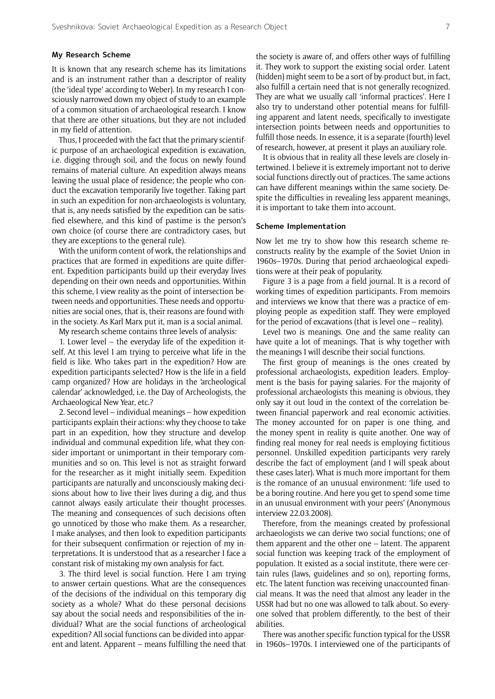#### **My Research Scheme**

It is known that any research scheme has its limitations and is an instrument rather than a descriptor of reality (the 'ideal type' according to Weber). In my research I consciously narrowed down my object of study to an example of a common situation of archaeological research. I know that there are other situations, but they are not included in my field of attention.

Thus, I proceeded with the fact that the primary scientific purpose of an archaeological expedition is excavation, i.e. digging through soil, and the focus on newly found remains of material culture. An expedition always means leaving the usual place of residence; the people who conduct the excavation temporarily live together. Taking part in such an expedition for non-archaeologists is voluntary, that is, any needs satisfied by the expedition can be satisfied elsewhere, and this kind of pastime is the person's own choice (of course there are contradictory cases, but they are exceptions to the general rule).

With the uniform content of work, the relationships and practices that are formed in expeditions are quite different. Expedition participants build up their everyday lives depending on their own needs and opportunities. Within this scheme, I view reality as the point of intersection between needs and opportunities. These needs and opportunities are social ones, that is, their reasons are found within the society. As Karl Marx put it, man is a social animal.

My research scheme contains three levels of analysis:

1. Lower level – the everyday life of the expedition itself. At this level I am trying to perceive what life in the field is like. Who takes part in the expedition? How are expedition participants selected? How is the life in a field camp organized? How are holidays in the 'archeological calendar' acknowledged, i.e. the Day of Archeologists, the Archaeological New Year, etc.?

2. Second level – individual meanings – how expedition participants explain their actions: why they choose to take part in an expedition, how they structure and develop individual and communal expedition life, what they consider important or unimportant in their temporary communities and so on. This level is not as straight forward for the researcher as it might initially seem. Expedition participants are naturally and unconsciously making decisions about how to live their lives during a dig, and thus cannot always easily articulate their thought processes. The meaning and consequences of such decisions often go unnoticed by those who make them. As a researcher, I make analyses, and then look to expedition participants for their subsequent confirmation or rejection of my interpretations. It is understood that as a researcher I face a constant risk of mistaking my own analysis for fact.

3. The third level is social function. Here I am trying to answer certain questions. What are the consequences of the decisions of the individual on this temporary dig society as a whole? What do these personal decisions say about the social needs and responsibilities of the individual? What are the social functions of archeological expedition? All social functions can be divided into apparent and latent. Apparent – means fulfilling the need that the society is aware of, and offers other ways of fulfilling it. They work to support the existing social order. Latent (hidden) might seem to be a sort of by-product but, in fact, also fulfill a certain need that is not generally recognized. They are what we usually call 'informal practices'. Here I also try to understand other potential means for fulfilling apparent and latent needs, specifically to investigate intersection points between needs and opportunities to fulfill those needs. In essence, it is a separate (fourth) level of research, however, at present it plays an auxiliary role.

It is obvious that in reality all these levels are closely intertwined. I believe it is extremely important not to derive social functions directly out of practices. The same actions can have different meanings within the same society. Despite the difficulties in revealing less apparent meanings, it is important to take them into account.

#### **Scheme Implementation**

Now let me try to show how this research scheme reconstructs reality by the example of the Soviet Union in 1960s–1970s. During that period archaeological expeditions were at their peak of popularity.

Figure 3 is a page from a field journal. It is a record of working times of expedition participants. From memoirs and interviews we know that there was a practice of employing people as expedition staff. They were employed for the period of excavations (that is level one – reality).

Level two is meanings. One and the same reality can have quite a lot of meanings. That is why together with the meanings I will describe their social functions.

The first group of meanings is the ones created by professional archaeologists, expedition leaders. Employment is the basis for paying salaries. For the majority of professional archaeologists this meaning is obvious, they only say it out loud in the context of the correlation between financial paperwork and real economic activities. The money accounted for on paper is one thing, and the money spent in reality is quite another. One way of finding real money for real needs is employing fictitious personnel. Unskilled expedition participants very rarely describe the fact of employment (and I will speak about these cases later). What is much more important for them is the romance of an unusual environment: 'life used to be a boring routine. And here you get to spend some time in an unusual environment with your peers' (Anonymous interview 22.03.2008).

Therefore, from the meanings created by professional archaeologists we can derive two social functions; one of them apparent and the other one – latent. The apparent social function was keeping track of the employment of population. It existed as a social institute, there were certain rules (laws, guidelines and so on), reporting forms, etc. The latent function was receiving unaccounted financial means. It was the need that almost any leader in the USSR had but no one was allowed to talk about. So everyone solved that problem differently, to the best of their abilities.

There was another specific function typical for the USSR in 1960s–1970s. I interviewed one of the participants of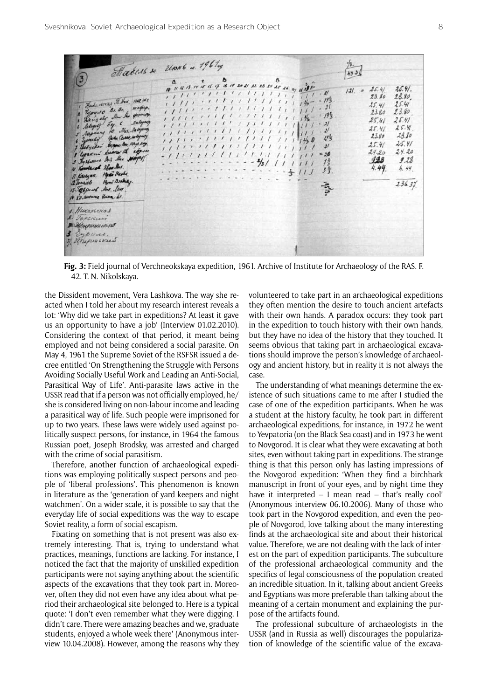| Fundacional F. Hun. Hat sie<br>2 Ujourso B. B. , weeper.<br>Lawyely Mur the geomorp.<br>4 Selection 54. C salary<br>5 rapiday to Max. Nalogury<br>6 Eyenesy Gale Ceases, subspring<br>I feel yellow began an nay ey.<br>I yourn' heaven the igen<br>3 Ag Holland 205 Mac Maynes<br>10 Kenstein Ster Mar.<br>Il Kaussen Have Sada.<br>12 longiel Hymi Dishay.<br>13 Abparel Mar. Use.<br>It Ko survey Huma b. | Madent so Unit is 1961eg<br>10 11 12 13 14 17 14 17 18 19 20 21 22 23 24 25 26 27 14 39 10<br>11.41<br>,,,,,,,,,,,,,,,,<br>$1111 \cdot 111111111111111000 = 195$<br>,,,,,,,,,,,,,,,,,,,,,<br>111171111111111111111<br>$-4/1/$ | 40.30<br>25.4.<br>25.41<br>s<br>121.<br>28.80<br>23.80<br>25.41<br>45.41<br>23.80<br>23.80<br>193<br>25.41<br>25.41<br>25.41<br>25.41<br>$\mathcal{L}^{\prime}$<br>23.80<br>23.80<br>$19\overline{5}$<br>25.41<br>25.41<br>$\frac{2}{3}$<br>24.20<br>24.20<br>20<br>928<br>9.28<br>Ŧĩ<br>4.44<br>4.44.<br>3字<br>236.37 |
|--------------------------------------------------------------------------------------------------------------------------------------------------------------------------------------------------------------------------------------------------------------------------------------------------------------------------------------------------------------------------------------------------------------|-------------------------------------------------------------------------------------------------------------------------------------------------------------------------------------------------------------------------------|------------------------------------------------------------------------------------------------------------------------------------------------------------------------------------------------------------------------------------------------------------------------------------------------------------------------|
| А. Никольской<br>2. SOPEKLESS<br><b>BURGHAMMAN ARANT</b><br>3 Eyerno.<br>Н. Ширинский                                                                                                                                                                                                                                                                                                                        |                                                                                                                                                                                                                               |                                                                                                                                                                                                                                                                                                                        |

**Fig. 3:** Field journal of Verchneokskaya expedition, 1961. Archive of Institute for Archaeology of the RAS. F. 42. T. N. Nikolskaya.

the Dissident movement, Vera Lashkova. The way she reacted when I told her about my research interest reveals a lot: 'Why did we take part in expeditions? At least it gave us an opportunity to have a job' (Interview 01.02.2010). Considering the context of that period, it meant being employed and not being considered a social parasite. On May 4, 1961 the Supreme Soviet of the RSFSR issued a decree entitled 'On Strengthening the Struggle with Persons Avoiding Socially Useful Work and Leading an Anti-Social, Parasitical Way of Life'. Anti-parasite laws active in the USSR read that if a person was not officially employed, he/ she is considered living on non-labour income and leading a parasitical way of life. Such people were imprisoned for up to two years. These laws were widely used against politically suspect persons, for instance, in 1964 the famous Russian poet, Joseph Brodsky, was arrested and charged with the crime of social parasitism.

Therefore, another function of archaeological expeditions was employing politically suspect persons and people of 'liberal professions'. This phenomenon is known in literature as the 'generation of yard keepers and night watchmen'. On a wider scale, it is possible to say that the everyday life of social expeditions was the way to escape Soviet reality, a form of social escapism.

Fixating on something that is not present was also extremely interesting. That is, trying to understand what practices, meanings, functions are lacking. For instance, I noticed the fact that the majority of unskilled expedition participants were not saying anything about the scientific aspects of the excavations that they took part in. Moreover, often they did not even have any idea about what period their archaeological site belonged to. Here is a typical quote: 'I don't even remember what they were digging. I didn't care. There were amazing beaches and we, graduate students, enjoyed a whole week there' (Anonymous interview 10.04.2008). However, among the reasons why they volunteered to take part in an archaeological expeditions they often mention the desire to touch ancient artefacts with their own hands. A paradox occurs: they took part in the expedition to touch history with their own hands, but they have no idea of the history that they touched. It seems obvious that taking part in archaeological excavations should improve the person's knowledge of archaeology and ancient history, but in reality it is not always the case.

The understanding of what meanings determine the existence of such situations came to me after I studied the case of one of the expedition participants. When he was a student at the history faculty, he took part in different archaeological expeditions, for instance, in 1972 he went to Yevpatoria (on the Black Sea coast) and in 1973 he went to Novgorod. It is clear what they were excavating at both sites, even without taking part in expeditions. The strange thing is that this person only has lasting impressions of the Novgorod expedition: 'When they find a birchbark manuscript in front of your eyes, and by night time they have it interpreted – I mean read – that's really cool' (Anonymous interview 06.10.2006). Many of those who took part in the Novgorod expedition, and even the people of Novgorod, love talking about the many interesting finds at the archaeological site and about their historical value. Therefore, we are not dealing with the lack of interest on the part of expedition participants. The subculture of the professional archaeological community and the specifics of legal consciousness of the population created an incredible situation. In it, talking about ancient Greeks and Egyptians was more preferable than talking about the meaning of a certain monument and explaining the purpose of the artifacts found.

The professional subculture of archaeologists in the USSR (and in Russia as well) discourages the popularization of knowledge of the scientific value of the excava